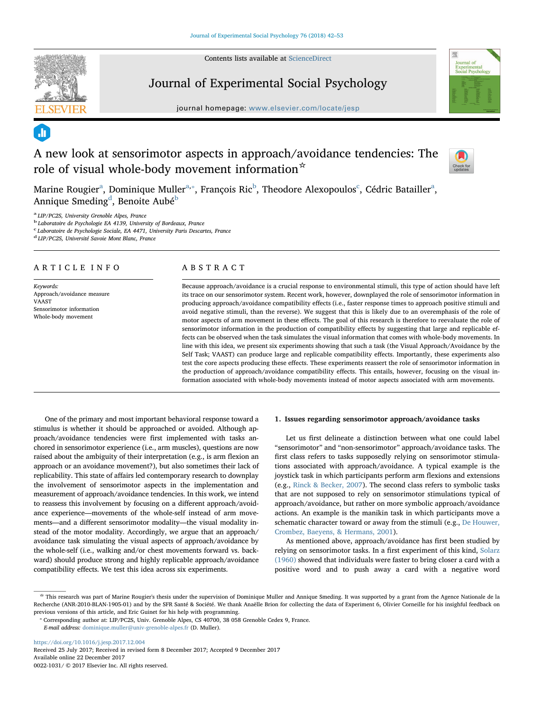Contents lists available at [ScienceDirect](http://www.sciencedirect.com/science/journal/00221031)



**Jn** 

## Journal of Experimental Social Psychology

journal homepage: [www.elsevier.com/locate/jesp](https://www.elsevier.com/locate/jesp)



# A new look at sensorimotor aspects in approach/avoidance tendencies: The role of visual whole-body movement information☆



M[a](#page-0-0)rine Rougier<sup>a</sup>, Dominique Muller<sup>a,</sup>\*, François Ric<sup>[b](#page-0-2)</sup>, Theodore Alexopoulos<sup>[c](#page-0-3)</sup>, Cédric Batailler<sup>a</sup>, Annique Sme[d](#page-0-4)ing<sup>d</sup>, Benoite Au[b](#page-0-2)é<sup>b</sup>

<span id="page-0-0"></span><sup>a</sup> LIP/PC2S, University Grenoble Alpes, France

<span id="page-0-2"></span><sup>b</sup> Laboratoire de Psychologie EA 4139, University of Bordeaux, France

<span id="page-0-3"></span>c<br>Laboratoire de Psychologie Sociale, EA 4471, University Paris Descartes, France

<span id="page-0-4"></span><sup>d</sup> LIP/PC2S, Université Savoie Mont Blanc, France

## ARTICLE INFO

Keywords: Approach/avoidance measure VAAST Sensorimotor information Whole-body movement

## ABSTRACT

Because approach/avoidance is a crucial response to environmental stimuli, this type of action should have left its trace on our sensorimotor system. Recent work, however, downplayed the role of sensorimotor information in producing approach/avoidance compatibility effects (i.e., faster response times to approach positive stimuli and avoid negative stimuli, than the reverse). We suggest that this is likely due to an overemphasis of the role of motor aspects of arm movement in these effects. The goal of this research is therefore to reevaluate the role of sensorimotor information in the production of compatibility effects by suggesting that large and replicable effects can be observed when the task simulates the visual information that comes with whole-body movements. In line with this idea, we present six experiments showing that such a task (the Visual Approach/Avoidance by the Self Task; VAAST) can produce large and replicable compatibility effects. Importantly, these experiments also test the core aspects producing these effects. These experiments reassert the role of sensorimotor information in the production of approach/avoidance compatibility effects. This entails, however, focusing on the visual information associated with whole-body movements instead of motor aspects associated with arm movements.

One of the primary and most important behavioral response toward a stimulus is whether it should be approached or avoided. Although approach/avoidance tendencies were first implemented with tasks anchored in sensorimotor experience (i.e., arm muscles), questions are now raised about the ambiguity of their interpretation (e.g., is arm flexion an approach or an avoidance movement?), but also sometimes their lack of replicability. This state of affairs led contemporary research to downplay the involvement of sensorimotor aspects in the implementation and measurement of approach/avoidance tendencies. In this work, we intend to reassess this involvement by focusing on a different approach/avoidance experience—movements of the whole-self instead of arm movements—and a different sensorimotor modality—the visual modality instead of the motor modality. Accordingly, we argue that an approach/ avoidance task simulating the visual aspects of approach/avoidance by the whole-self (i.e., walking and/or chest movements forward vs. backward) should produce strong and highly replicable approach/avoidance compatibility effects. We test this idea across six experiments.

## 1. Issues regarding sensorimotor approach/avoidance tasks

Let us first delineate a distinction between what one could label "sensorimotor" and "non-sensorimotor" approach/avoidance tasks. The first class refers to tasks supposedly relying on sensorimotor stimulations associated with approach/avoidance. A typical example is the joystick task in which participants perform arm flexions and extensions (e.g., [Rinck & Becker, 2007](#page-10-0)). The second class refers to symbolic tasks that are not supposed to rely on sensorimotor stimulations typical of approach/avoidance, but rather on more symbolic approach/avoidance actions. An example is the manikin task in which participants move a schematic character toward or away from the stimuli (e.g., [De Houwer,](#page-10-1) [Crombez, Baeyens, & Hermans, 2001\)](#page-10-1).

As mentioned above, approach/avoidance has first been studied by relying on sensorimotor tasks. In a first experiment of this kind, [Solarz](#page-11-0) [\(1960\)](#page-11-0) showed that individuals were faster to bring closer a card with a positive word and to push away a card with a negative word

<https://doi.org/10.1016/j.jesp.2017.12.004>

Received 25 July 2017; Received in revised form 8 December 2017; Accepted 9 December 2017 Available online 22 December 2017 0022-1031/ © 2017 Elsevier Inc. All rights reserved.

<sup>☆</sup> This research was part of Marine Rougier's thesis under the supervision of Dominique Muller and Annique Smeding. It was supported by a grant from the Agence Nationale de la Recherche (ANR-2010-BLAN-1905-01) and by the SFR Santé & Société. We thank Anaëlle Brion for collecting the data of Experiment 6, Olivier Corneille for his insighful feedback on previous versions of this article, and Eric Guinet for his help with programming. ⁎ Corresponding author at: LIP/PC2S, Univ. Grenoble Alpes, CS 40700, 38 058 Grenoble Cedex 9, France.

<span id="page-0-1"></span>

E-mail address: [dominique.muller@univ-grenoble-alpes.fr](mailto:dominique.muller@univ-grenoble-alpes.fr) (D. Muller).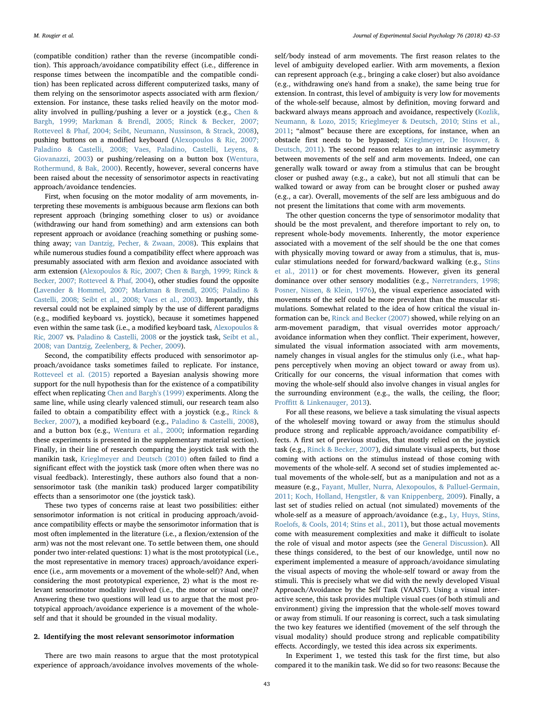(compatible condition) rather than the reverse (incompatible condition). This approach/avoidance compatibility effect (i.e., difference in response times between the incompatible and the compatible condition) has been replicated across different computerized tasks, many of them relying on the sensorimotor aspects associated with arm flexion/ extension. For instance, these tasks relied heavily on the motor modality involved in pulling/pushing a lever or a joystick (e.g., [Chen &](#page-10-2) [Bargh, 1999; Markman & Brendl, 2005; Rinck & Becker, 2007;](#page-10-2) [Rotteveel & Phaf, 2004; Seibt, Neumann, Nussinson, & Strack, 2008](#page-10-2)), pushing buttons on a modified keyboard ([Alexopoulos & Ric, 2007;](#page-10-3) [Paladino & Castelli, 2008; Vaes, Paladino, Castelli, Leyens, &](#page-10-3) [Giovanazzi, 2003\)](#page-10-3) or pushing/releasing on a button box [\(Wentura,](#page-11-1) [Rothermund, & Bak, 2000](#page-11-1)). Recently, however, several concerns have been raised about the necessity of sensorimotor aspects in reactivating approach/avoidance tendencies.

First, when focusing on the motor modality of arm movements, interpreting these movements is ambiguous because arm flexions can both represent approach (bringing something closer to us) or avoidance (withdrawing our hand from something) and arm extensions can both represent approach or avoidance (reaching something or pushing something away; [van Dantzig, Pecher, & Zwaan, 2008](#page-11-2)). This explains that while numerous studies found a compatibility effect where approach was presumably associated with arm flexion and avoidance associated with arm extension [\(Alexopoulos & Ric, 2007; Chen & Bargh, 1999; Rinck &](#page-10-3) [Becker, 2007; Rotteveel & Phaf, 2004\)](#page-10-3), other studies found the opposite [\(Lavender & Hommel, 2007; Markman & Brendl, 2005; Paladino &](#page-10-4) [Castelli, 2008; Seibt et al., 2008; Vaes et al., 2003](#page-10-4)). Importantly, this reversal could not be explained simply by the use of different paradigms (e.g., modified keyboard vs. joystick), because it sometimes happened even within the same task (i.e., a modified keyboard task, [Alexopoulos &](#page-10-3) [Ric, 2007](#page-10-3) vs. [Paladino & Castelli, 2008](#page-10-5) or the joystick task, [Seibt et al.,](#page-11-3) [2008; van Dantzig, Zeelenberg, & Pecher, 2009\)](#page-11-3).

Second, the compatibility effects produced with sensorimotor approach/avoidance tasks sometimes failed to replicate. For instance, [Rotteveel et al. \(2015\)](#page-10-6) reported a Bayesian analysis showing more support for the null hypothesis than for the existence of a compatibility effect when replicating [Chen and Bargh's \(1999\)](#page-10-2) experiments. Along the same line, while using clearly valenced stimuli, our research team also failed to obtain a compatibility effect with a joystick (e.g., [Rinck &](#page-10-0) [Becker, 2007\)](#page-10-0), a modified keyboard (e.g., [Paladino & Castelli, 2008](#page-10-5)), and a button box (e.g., [Wentura et al., 2000](#page-11-1); information regarding these experiments is presented in the supplementary material section). Finally, in their line of research comparing the joystick task with the manikin task, [Krieglmeyer and Deutsch \(2010\)](#page-10-7) often failed to find a significant effect with the joystick task (more often when there was no visual feedback). Interestingly, these authors also found that a nonsensorimotor task (the manikin task) produced larger compatibility effects than a sensorimotor one (the joystick task).

These two types of concerns raise at least two possibilities: either sensorimotor information is not critical in producing approach/avoidance compatibility effects or maybe the sensorimotor information that is most often implemented in the literature (i.e., a flexion/extension of the arm) was not the most relevant one. To settle between them, one should ponder two inter-related questions: 1) what is the most prototypical (i.e., the most representative in memory traces) approach/avoidance experience (i.e., arm movements or a movement of the whole-self)? And, when considering the most prototypical experience, 2) what is the most relevant sensorimotor modality involved (i.e., the motor or visual one)? Answering these two questions will lead us to argue that the most prototypical approach/avoidance experience is a movement of the wholeself and that it should be grounded in the visual modality.

#### 2. Identifying the most relevant sensorimotor information

There are two main reasons to argue that the most prototypical experience of approach/avoidance involves movements of the wholeself/body instead of arm movements. The first reason relates to the level of ambiguity developed earlier. With arm movements, a flexion can represent approach (e.g., bringing a cake closer) but also avoidance (e.g., withdrawing one's hand from a snake), the same being true for extension. In contrast, this level of ambiguity is very low for movements of the whole-self because, almost by definition, moving forward and backward always means approach and avoidance, respectively [\(Kozlik,](#page-10-8) [Neumann, & Lozo, 2015; Krieglmeyer & Deutsch, 2010; Stins et al.,](#page-10-8) [2011;](#page-10-8) "almost" because there are exceptions, for instance, when an obstacle first needs to be bypassed; [Krieglmeyer, De Houwer, &](#page-10-9) [Deutsch, 2011](#page-10-9)). The second reason relates to an intrinsic asymmetry between movements of the self and arm movements. Indeed, one can generally walk toward or away from a stimulus that can be brought closer or pushed away (e.g., a cake), but not all stimuli that can be walked toward or away from can be brought closer or pushed away (e.g., a car). Overall, movements of the self are less ambiguous and do not present the limitations that come with arm movements.

The other question concerns the type of sensorimotor modality that should be the most prevalent, and therefore important to rely on, to represent whole-body movements. Inherently, the motor experience associated with a movement of the self should be the one that comes with physically moving toward or away from a stimulus, that is, muscular stimulations needed for forward/backward walking (e.g., [Stins](#page-11-4) [et al., 2011](#page-11-4)) or for chest movements. However, given its general dominance over other sensory modalities (e.g., [Nørretranders, 1998;](#page-10-10) [Posner, Nissen, & Klein, 1976\)](#page-10-10), the visual experience associated with movements of the self could be more prevalent than the muscular stimulations. Somewhat related to the idea of how critical the visual information can be, [Rinck and Becker \(2007\)](#page-10-0) showed, while relying on an arm-movement paradigm, that visual overrides motor approach/ avoidance information when they conflict. Their experiment, however, simulated the visual information associated with arm movements, namely changes in visual angles for the stimulus only (i.e., what happens perceptively when moving an object toward or away from us). Critically for our concerns, the visual information that comes with moving the whole-self should also involve changes in visual angles for the surrounding environment (e.g., the walls, the ceiling, the floor; Proffi[tt & Linkenauger, 2013](#page-10-11)).

For all these reasons, we believe a task simulating the visual aspects of the wholeself moving toward or away from the stimulus should produce strong and replicable approach/avoidance compatibility effects. A first set of previous studies, that mostly relied on the joystick task (e.g., [Rinck & Becker, 2007](#page-10-0)), did simulate visual aspects, but those coming with actions on the stimulus instead of those coming with movements of the whole-self. A second set of studies implemented actual movements of the whole-self, but as a manipulation and not as a measure (e.g., [Fayant, Muller, Nurra, Alexopoulos, & Palluel-Germain,](#page-10-12) [2011; Koch, Holland, Hengstler, & van Knippenberg, 2009](#page-10-12)). Finally, a last set of studies relied on actual (not simulated) movements of the whole-self as a measure of approach/avoidance (e.g., [Ly, Huys, Stins,](#page-10-13) [Roelofs, & Cools, 2014; Stins et al., 2011\)](#page-10-13), but those actual movements come with measurement complexities and make it difficult to isolate the role of visual and motor aspects (see the [General Discussion](#page-8-0)). All these things considered, to the best of our knowledge, until now no experiment implemented a measure of approach/avoidance simulating the visual aspects of moving the whole-self toward or away from the stimuli. This is precisely what we did with the newly developed Visual Approach/Avoidance by the Self Task (VAAST). Using a visual interactive scene, this task provides multiple visual cues (of both stimuli and environment) giving the impression that the whole-self moves toward or away from stimuli. If our reasoning is correct, such a task simulating the two key features we identified (movement of the self through the visual modality) should produce strong and replicable compatibility effects. Accordingly, we tested this idea across six experiments.

In Experiment 1, we tested this task for the first time, but also compared it to the manikin task. We did so for two reasons: Because the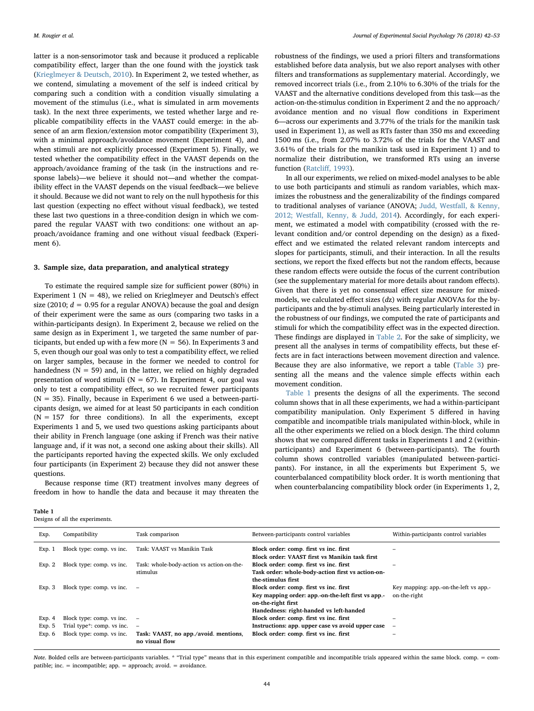latter is a non-sensorimotor task and because it produced a replicable compatibility effect, larger than the one found with the joystick task ([Krieglmeyer & Deutsch, 2010](#page-10-7)). In Experiment 2, we tested whether, as we contend, simulating a movement of the self is indeed critical by comparing such a condition with a condition visually simulating a movement of the stimulus (i.e., what is simulated in arm movements task). In the next three experiments, we tested whether large and replicable compatibility effects in the VAAST could emerge: in the absence of an arm flexion/extension motor compatibility (Experiment 3), with a minimal approach/avoidance movement (Experiment 4), and when stimuli are not explicitly processed (Experiment 5). Finally, we tested whether the compatibility effect in the VAAST depends on the approach/avoidance framing of the task (in the instructions and response labels)—we believe it should not—and whether the compatibility effect in the VAAST depends on the visual feedback—we believe it should. Because we did not want to rely on the null hypothesis for this last question (expecting no effect without visual feedback), we tested these last two questions in a three-condition design in which we compared the regular VAAST with two conditions: one without an approach/avoidance framing and one without visual feedback (Experiment 6).

### 3. Sample size, data preparation, and analytical strategy

To estimate the required sample size for sufficient power (80%) in Experiment 1 ( $N = 48$ ), we relied on Krieglmeyer and Deutsch's effect size (2010;  $d = 0.95$  for a regular ANOVA) because the goal and design of their experiment were the same as ours (comparing two tasks in a within-participants design). In Experiment 2, because we relied on the same design as in Experiment 1, we targeted the same number of participants, but ended up with a few more ( $N = 56$ ). In Experiments 3 and 5, even though our goal was only to test a compatibility effect, we relied on larger samples, because in the former we needed to control for handedness ( $N = 59$ ) and, in the latter, we relied on highly degraded presentation of word stimuli ( $N = 67$ ). In Experiment 4, our goal was only to test a compatibility effect, so we recruited fewer participants  $(N = 35)$ . Finally, because in Experiment 6 we used a between-participants design, we aimed for at least 50 participants in each condition  $(N = 157)$  for three conditions). In all the experiments, except Experiments 1 and 5, we used two questions asking participants about their ability in French language (one asking if French was their native language and, if it was not, a second one asking about their skills). All the participants reported having the expected skills. We only excluded four participants (in Experiment 2) because they did not answer these questions.

Because response time (RT) treatment involves many degrees of freedom in how to handle the data and because it may threaten the

#### <span id="page-2-0"></span>Table 1

Designs of all the experiments.

robustness of the findings, we used a priori filters and transformations established before data analysis, but we also report analyses with other filters and transformations as supplementary material. Accordingly, we removed incorrect trials (i.e., from 2.10% to 6.30% of the trials for the VAAST and the alternative conditions developed from this task—as the action-on-the-stimulus condition in Experiment 2 and the no approach/ avoidance mention and no visual flow conditions in Experiment 6—across our experiments and 3.77% of the trials for the manikin task used in Experiment 1), as well as RTs faster than 350 ms and exceeding 1500 ms (i.e., from 2.07% to 3.72% of the trials for the VAAST and 3.61% of the trials for the manikin task used in Experiment 1) and to normalize their distribution, we transformed RTs using an inverse function (Ratcliff[, 1993](#page-10-14)).

In all our experiments, we relied on mixed-model analyses to be able to use both participants and stimuli as random variables, which maximizes the robustness and the generalizability of the findings compared to traditional analyses of variance (ANOVA; [Judd, Westfall, & Kenny,](#page-10-15) [2012; Westfall, Kenny, & Judd, 2014\)](#page-10-15). Accordingly, for each experiment, we estimated a model with compatibility (crossed with the relevant condition and/or control depending on the design) as a fixedeffect and we estimated the related relevant random intercepts and slopes for participants, stimuli, and their interaction. In all the results sections, we report the fixed effects but not the random effects, because these random effects were outside the focus of the current contribution (see the supplementary material for more details about random effects). Given that there is yet no consensual effect size measure for mixedmodels, we calculated effect sizes (dz) with regular ANOVAs for the byparticipants and the by-stimuli analyses. Being particularly interested in the robustness of our findings, we computed the rate of participants and stimuli for which the compatibility effect was in the expected direction. These findings are displayed in [Table 2.](#page-4-0) For the sake of simplicity, we present all the analyses in terms of compatibility effects, but these effects are in fact interactions between movement direction and valence. Because they are also informative, we report a table ([Table 3\)](#page-8-1) presenting all the means and the valence simple effects within each movement condition.

[Table 1](#page-2-0) presents the designs of all the experiments. The second column shows that in all these experiments, we had a within-participant compatibility manipulation. Only Experiment 5 differed in having compatible and incompatible trials manipulated within-block, while in all the other experiments we relied on a block design. The third column shows that we compared different tasks in Experiments 1 and 2 (withinparticipants) and Experiment 6 (between-participants). The fourth column shows controlled variables (manipulated between-participants). For instance, in all the experiments but Experiment 5, we counterbalanced compatibility block order. It is worth mentioning that when counterbalancing compatibility block order (in Experiments 1, 2,

| Exp.   | Compatibility              | Task comparison                                         | Between-participants control variables                                                      | Within-participants control variables  |
|--------|----------------------------|---------------------------------------------------------|---------------------------------------------------------------------------------------------|----------------------------------------|
| Exp. 1 | Block type: comp. vs inc.  | Task: VAAST vs Manikin Task                             | Block order: comp. first vs inc. first<br>Block order: VAAST first vs Manikin task first    |                                        |
| Exp. 2 | Block type: comp. vs inc.  | Task: whole-body-action vs action-on-the-<br>stimulus   | Block order: comp. first vs inc. first<br>Task order: whole-body-action first vs action-on- |                                        |
| Exp.3  | Block type: comp. vs inc.  | $\overline{\phantom{a}}$                                | the-stimulus first<br>Block order: comp. first vs inc. first                                | Key mapping: app.-on-the-left vs app.- |
|        |                            |                                                         | Key mapping order: app.-on-the-left first vs app.-<br>on-the-right first                    | on-the-right                           |
|        |                            |                                                         | Handedness: right-handed vs left-handed                                                     |                                        |
| Exp. 4 | Block type: comp. vs inc.  | $\overline{\phantom{a}}$                                | Block order: comp. first vs inc. first                                                      |                                        |
| Exp. 5 | Trial type*: comp. vs inc. | $\overline{\phantom{a}}$                                | Instructions: app. upper case vs avoid upper case                                           | -                                      |
| Exp. 6 | Block type: comp. vs inc.  | Task: VAAST, no app./avoid. mentions,<br>no visual flow | Block order: comp. first vs inc. first                                                      |                                        |

Note. Bolded cells are between-participants variables. \* "Trial type" means that in this experiment compatible and incompatible trials appeared within the same block. comp. = compatible; inc. = incompatible; app. = approach; avoid. = avoidance.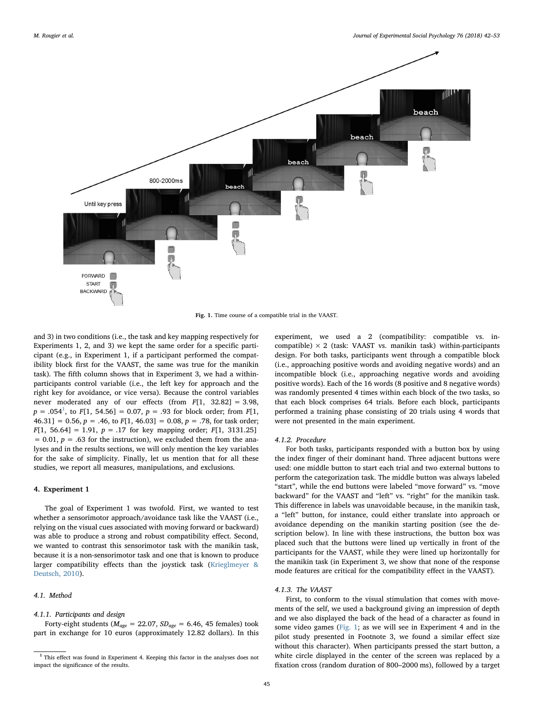<span id="page-3-1"></span>

Fig. 1. Time course of a compatible trial in the VAAST.

and 3) in two conditions (i.e., the task and key mapping respectively for Experiments 1, 2, and 3) we kept the same order for a specific participant (e.g., in Experiment 1, if a participant performed the compatibility block first for the VAAST, the same was true for the manikin task). The fifth column shows that in Experiment 3, we had a withinparticipants control variable (i.e., the left key for approach and the right key for avoidance, or vice versa). Because the control variables never moderated any of our effects (from  $F[1, 32.82] = 3.98$ ,  $p = .054^{\frac{1}{2}}$  $p = .054^{\frac{1}{2}}$  $p = .054^{\frac{1}{2}}$ , to  $F[1, 54.56] = 0.07$ ,  $p = .93$  for block order; from  $F[1, 54.56] = 0.07$  $46.31$ ] = 0.56, p = .46, to  $F[1, 46.03] = 0.08$ , p = .78, for task order;  $F[1, 56.64] = 1.91, p = .17$  for key mapping order;  $F[1, 3131.25]$  $= 0.01, p = .63$  for the instruction), we excluded them from the analyses and in the results sections, we will only mention the key variables for the sake of simplicity. Finally, let us mention that for all these studies, we report all measures, manipulations, and exclusions.

#### 4. Experiment 1

The goal of Experiment 1 was twofold. First, we wanted to test whether a sensorimotor approach/avoidance task like the VAAST (i.e., relying on the visual cues associated with moving forward or backward) was able to produce a strong and robust compatibility effect. Second, we wanted to contrast this sensorimotor task with the manikin task, because it is a non-sensorimotor task and one that is known to produce larger compatibility effects than the joystick task ([Krieglmeyer &](#page-10-7) [Deutsch, 2010\)](#page-10-7).

## 4.1. Method

#### 4.1.1. Participants and design

Forty-eight students ( $M_{age} = 22.07$ ,  $SD_{age} = 6.46$ , 45 females) took part in exchange for 10 euros (approximately 12.82 dollars). In this experiment, we used a 2 (compatibility: compatible vs. incompatible)  $\times$  2 (task: VAAST vs. manikin task) within-participants design. For both tasks, participants went through a compatible block (i.e., approaching positive words and avoiding negative words) and an incompatible block (i.e., approaching negative words and avoiding positive words). Each of the 16 words (8 positive and 8 negative words) was randomly presented 4 times within each block of the two tasks, so that each block comprises 64 trials. Before each block, participants performed a training phase consisting of 20 trials using 4 words that were not presented in the main experiment.

#### 4.1.2. Procedure

For both tasks, participants responded with a button box by using the index finger of their dominant hand. Three adjacent buttons were used: one middle button to start each trial and two external buttons to perform the categorization task. The middle button was always labeled "start", while the end buttons were labeled "move forward" vs. "move backward" for the VAAST and "left" vs. "right" for the manikin task. This difference in labels was unavoidable because, in the manikin task, a "left" button, for instance, could either translate into approach or avoidance depending on the manikin starting position (see the description below). In line with these instructions, the button box was placed such that the buttons were lined up vertically in front of the participants for the VAAST, while they were lined up horizontally for the manikin task (in Experiment 3, we show that none of the response mode features are critical for the compatibility effect in the VAAST).

## 4.1.3. The VAAST

First, to conform to the visual stimulation that comes with movements of the self, we used a background giving an impression of depth and we also displayed the back of the head of a character as found in some video games ([Fig. 1](#page-3-1); as we will see in Experiment 4 and in the pilot study presented in Footnote 3, we found a similar effect size without this character). When participants pressed the start button, a white circle displayed in the center of the screen was replaced by a fixation cross (random duration of 800–2000 ms), followed by a target

<span id="page-3-0"></span><sup>&</sup>lt;sup>1</sup> This effect was found in Experiment 4. Keeping this factor in the analyses does not impact the significance of the results.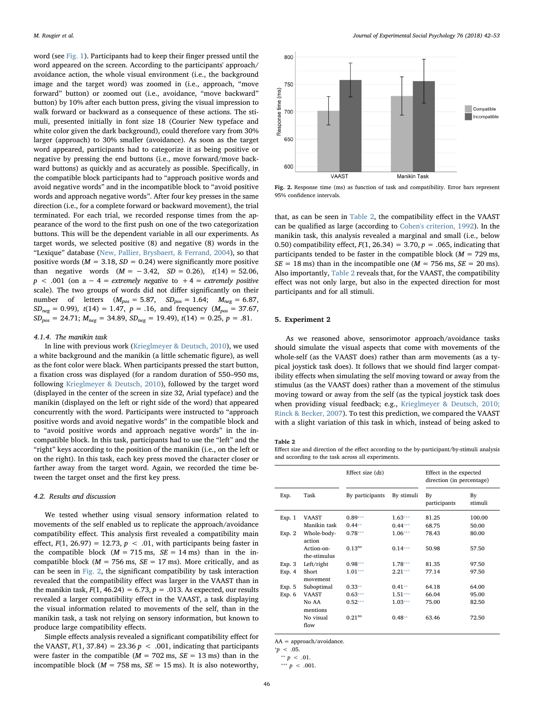word (see [Fig. 1\)](#page-3-1). Participants had to keep their finger pressed until the word appeared on the screen. According to the participants' approach/ avoidance action, the whole visual environment (i.e., the background image and the target word) was zoomed in (i.e., approach, "move forward" button) or zoomed out (i.e., avoidance, "move backward" button) by 10% after each button press, giving the visual impression to walk forward or backward as a consequence of these actions. The stimuli, presented initially in font size 18 (Courier New typeface and white color given the dark background), could therefore vary from 30% larger (approach) to 30% smaller (avoidance). As soon as the target word appeared, participants had to categorize it as being positive or negative by pressing the end buttons (i.e., move forward/move backward buttons) as quickly and as accurately as possible. Specifically, in the compatible block participants had to "approach positive words and avoid negative words" and in the incompatible block to "avoid positive words and approach negative words". After four key presses in the same direction (i.e., for a complete forward or backward movement), the trial terminated. For each trial, we recorded response times from the appearance of the word to the first push on one of the two categorization buttons. This will be the dependent variable in all our experiments. As target words, we selected positive (8) and negative (8) words in the "Lexique" database [\(New, Pallier, Brysbaert, & Ferrand, 2004\)](#page-10-16), so that positive words ( $M = 3.18$ ,  $SD = 0.24$ ) were significantly more positive than negative words  $(M = -3.42, SD = 0.26)$ ,  $t(14) = 52.06$ ,  $p < .001$  (on a - 4 = extremely negative to +4 = extremely positive scale). The two groups of words did not differ significantly on their number of letters  $(M_{pos} = 5.87, SD_{pos} = 1.64; M_{neg} = 6.87,$  $SD_{neg} = 0.99$ ,  $t(14) = 1.47$ ,  $p = .16$ , and frequency ( $M_{pos} = 37.67$ ,  $SD_{pos} = 24.71$ ;  $M_{neg} = 34.89$ ,  $SD_{neg} = 19.49$ ),  $t(14) = 0.25$ ,  $p = .81$ .

### 4.1.4. The manikin task

In line with previous work ([Krieglmeyer & Deutsch, 2010\)](#page-10-7), we used a white background and the manikin (a little schematic figure), as well as the font color were black. When participants pressed the start button, a fixation cross was displayed (for a random duration of 550–950 ms, following [Krieglmeyer & Deutsch, 2010\)](#page-10-7), followed by the target word (displayed in the center of the screen in size 32, Arial typeface) and the manikin (displayed on the left or right side of the word) that appeared concurrently with the word. Participants were instructed to "approach positive words and avoid negative words" in the compatible block and to "avoid positive words and approach negative words" in the incompatible block. In this task, participants had to use the "left" and the "right" keys according to the position of the manikin (i.e., on the left or on the right). In this task, each key press moved the character closer or farther away from the target word. Again, we recorded the time between the target onset and the first key press.

#### 4.2. Results and discussion

We tested whether using visual sensory information related to movements of the self enabled us to replicate the approach/avoidance compatibility effect. This analysis first revealed a compatibility main effect,  $F(1, 26.97) = 12.73$ ,  $p < .01$ , with participants being faster in the compatible block ( $M = 715$  ms,  $SE = 14$  ms) than in the incompatible block ( $M = 756$  ms,  $SE = 17$  ms). More critically, and as can be seen in [Fig. 2,](#page-4-1) the significant compatibility by task interaction revealed that the compatibility effect was larger in the VAAST than in the manikin task,  $F(1, 46.24) = 6.73$ ,  $p = .013$ . As expected, our results revealed a larger compatibility effect in the VAAST, a task displaying the visual information related to movements of the self, than in the manikin task, a task not relying on sensory information, but known to produce large compatibility effects.

Simple effects analysis revealed a significant compatibility effect for the VAAST,  $F(1, 37.84) = 23.36 p \, 001$ , indicating that participants were faster in the compatible ( $M = 702$  ms,  $SE = 13$  ms) than in the incompatible block ( $M = 758$  ms,  $SE = 15$  ms). It is also noteworthy,

<span id="page-4-1"></span>

Fig. 2. Response time (ms) as function of task and compatibility. Error bars represent 95% confidence intervals.

that, as can be seen in [Table 2](#page-4-0), the compatibility effect in the VAAST can be qualified as large (according to [Cohen's criterion, 1992\)](#page-10-17). In the manikin task, this analysis revealed a marginal and small (i.e., below 0.50) compatibility effect,  $F(1, 26.34) = 3.70, p = .065$ , indicating that participants tended to be faster in the compatible block  $(M = 729 \text{ ms})$ .  $SE = 18$  ms) than in the incompatible one ( $M = 756$  ms,  $SE = 20$  ms). Also importantly, [Table 2](#page-4-0) reveals that, for the VAAST, the compatibility effect was not only large, but also in the expected direction for most participants and for all stimuli.

#### 5. Experiment 2

As we reasoned above, sensorimotor approach/avoidance tasks should simulate the visual aspects that come with movements of the whole-self (as the VAAST does) rather than arm movements (as a typical joystick task does). It follows that we should find larger compatibility effects when simulating the self moving toward or away from the stimulus (as the VAAST does) rather than a movement of the stimulus moving toward or away from the self (as the typical joystick task does when providing visual feedback; e.g., [Krieglmeyer & Deutsch, 2010;](#page-10-7) [Rinck & Becker, 2007](#page-10-7)). To test this prediction, we compared the VAAST with a slight variation of this task in which, instead of being asked to

#### <span id="page-4-0"></span>Table 2

Effect size and direction of the effect according to the by-participant/by-stimuli analysis and according to the task across all experiments.

|        |                            | Effect size $(dz)$ |            | Effect in the expected<br>direction (in percentage) |               |
|--------|----------------------------|--------------------|------------|-----------------------------------------------------|---------------|
| Exp.   | Task                       | By participants    | By stimuli | By<br>participants                                  | By<br>stimuli |
| Exp. 1 | VAAST                      | $0.89***$          | $1.63***$  | 81.25                                               | 100.00        |
|        | Manikin task               | $0.44**$           | $0.44***$  | 68.75                                               | 50.00         |
| Exp. 2 | Whole-body-<br>action      | $0.78***$          | $1.06***$  | 78.43                                               | 80.00         |
|        | Action-on-<br>the-stimulus | 0.13 <sup>ns</sup> | $0.14***$  | 50.98                                               | 57.50         |
| Exp.3  | Left/right                 | $0.98***$          | $1.78***$  | 81.35                                               | 97.50         |
| Exp. 4 | Short<br>movement          | $1.01***$          | $2.21***$  | 77.14                                               | 97.50         |
| Exp. 5 | Suboptimal                 | $0.33**$           | $0.41**$   | 64.18                                               | 64.00         |
| Exp. 6 | VAAST                      | $0.63***$          | $1.51***$  | 66.04                                               | 95.00         |
|        | No AA<br>mentions          | $0.52***$          | $1.03***$  | 75.00                                               | 82.50         |
|        | No visual<br>flow          | 0.21 <sup>ns</sup> | $0.48**$   | 63.46                                               | 72.50         |

AA = approach/avoidance.

 $p < .05$ .

<span id="page-4-3"></span>\*\*  $p$  < .01.

<span id="page-4-2"></span>\*\*\*  $p$  < .001.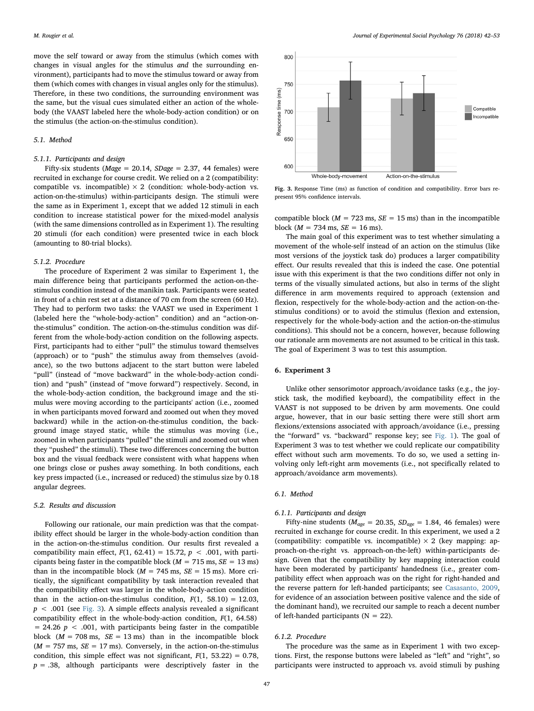move the self toward or away from the stimulus (which comes with changes in visual angles for the stimulus and the surrounding environment), participants had to move the stimulus toward or away from them (which comes with changes in visual angles only for the stimulus). Therefore, in these two conditions, the surrounding environment was the same, but the visual cues simulated either an action of the wholebody (the VAAST labeled here the whole-body-action condition) or on the stimulus (the action-on-the-stimulus condition).

## 5.1. Method

## 5.1.1. Participants and design

Fifty-six students (*Mage = 20.14, SDage = 2.37, 44 females*) were recruited in exchange for course credit. We relied on a 2 (compatibility: compatible vs. incompatible)  $\times$  2 (condition: whole-body-action vs. action-on-the-stimulus) within-participants design. The stimuli were the same as in Experiment 1, except that we added 12 stimuli in each condition to increase statistical power for the mixed-model analysis (with the same dimensions controlled as in Experiment 1). The resulting 20 stimuli (for each condition) were presented twice in each block (amounting to 80-trial blocks).

#### 5.1.2. Procedure

The procedure of Experiment 2 was similar to Experiment 1, the main difference being that participants performed the action-on-thestimulus condition instead of the manikin task. Participants were seated in front of a chin rest set at a distance of 70 cm from the screen (60 Hz). They had to perform two tasks: the VAAST we used in Experiment 1 (labeled here the "whole-body-action" condition) and an "action-onthe-stimulus" condition. The action-on-the-stimulus condition was different from the whole-body-action condition on the following aspects. First, participants had to either "pull" the stimulus toward themselves (approach) or to "push" the stimulus away from themselves (avoidance), so the two buttons adjacent to the start button were labeled "pull" (instead of "move backward" in the whole-body-action condition) and "push" (instead of "move forward") respectively. Second, in the whole-body-action condition, the background image and the stimulus were moving according to the participants' action (i.e., zoomed in when participants moved forward and zoomed out when they moved backward) while in the action-on-the-stimulus condition, the background image stayed static, while the stimulus was moving (i.e., zoomed in when participants "pulled" the stimuli and zoomed out when they "pushed" the stimuli). These two differences concerning the button box and the visual feedback were consistent with what happens when one brings close or pushes away something. In both conditions, each key press impacted (i.e., increased or reduced) the stimulus size by 0.18 angular degrees.

## 5.2. Results and discussion

Following our rationale, our main prediction was that the compatibility effect should be larger in the whole-body-action condition than in the action-on-the-stimulus condition. Our results first revealed a compatibility main effect,  $F(1, 62.41) = 15.72$ ,  $p < .001$ , with participants being faster in the compatible block ( $M = 715$  ms,  $SE = 13$  ms) than in the incompatible block ( $M = 745$  ms,  $SE = 15$  ms). More critically, the significant compatibility by task interaction revealed that the compatibility effect was larger in the whole-body-action condition than in the action-on-the-stimulus condition,  $F(1, 58.10) = 12.03$ ,  $p < .001$  (see [Fig. 3\)](#page-5-0). A simple effects analysis revealed a significant compatibility effect in the whole-body-action condition,  $F(1, 64.58)$  $= 24.26$  p  $< .001$ , with participants being faster in the compatible block  $(M = 708 \text{ ms}, \ S E = 13 \text{ ms})$  than in the incompatible block  $(M = 757 \text{ ms}, SE = 17 \text{ ms})$ . Conversely, in the action-on-the-stimulus condition, this simple effect was not significant,  $F(1, 53.22) = 0.78$ ,  $p = .38$ , although participants were descriptively faster in the

<span id="page-5-0"></span>

Fig. 3. Response Time (ms) as function of condition and compatibility. Error bars represent 95% confidence intervals.

compatible block ( $M = 723$  ms,  $SE = 15$  ms) than in the incompatible block ( $M = 734$  ms,  $SE = 16$  ms).

The main goal of this experiment was to test whether simulating a movement of the whole-self instead of an action on the stimulus (like most versions of the joystick task do) produces a larger compatibility effect. Our results revealed that this is indeed the case. One potential issue with this experiment is that the two conditions differ not only in terms of the visually simulated actions, but also in terms of the slight difference in arm movements required to approach (extension and flexion, respectively for the whole-body-action and the action-on-thestimulus conditions) or to avoid the stimulus (flexion and extension, respectively for the whole-body-action and the action-on-the-stimulus conditions). This should not be a concern, however, because following our rationale arm movements are not assumed to be critical in this task. The goal of Experiment 3 was to test this assumption.

## 6. Experiment 3

Unlike other sensorimotor approach/avoidance tasks (e.g., the joystick task, the modified keyboard), the compatibility effect in the VAAST is not supposed to be driven by arm movements. One could argue, however, that in our basic setting there were still short arm flexions/extensions associated with approach/avoidance (i.e., pressing the "forward" vs. "backward" response key; see [Fig. 1\)](#page-3-1). The goal of Experiment 3 was to test whether we could replicate our compatibility effect without such arm movements. To do so, we used a setting involving only left-right arm movements (i.e., not specifically related to approach/avoidance arm movements).

#### 6.1. Method

#### 6.1.1. Participants and design

Fifty-nine students ( $M_{age} = 20.35$ ,  $SD_{age} = 1.84$ , 46 females) were recruited in exchange for course credit. In this experiment, we used a 2 (compatibility: compatible vs. incompatible)  $\times$  2 (key mapping: approach-on-the-right vs. approach-on-the-left) within-participants design. Given that the compatibility by key mapping interaction could have been moderated by participants' handedness (i.e., greater compatibility effect when approach was on the right for right-handed and the reverse pattern for left-handed participants; see [Casasanto, 2009](#page-10-18), for evidence of an association between positive valence and the side of the dominant hand), we recruited our sample to reach a decent number of left-handed participants ( $N = 22$ ).

#### 6.1.2. Procedure

The procedure was the same as in Experiment 1 with two exceptions. First, the response buttons were labeled as "left" and "right", so participants were instructed to approach vs. avoid stimuli by pushing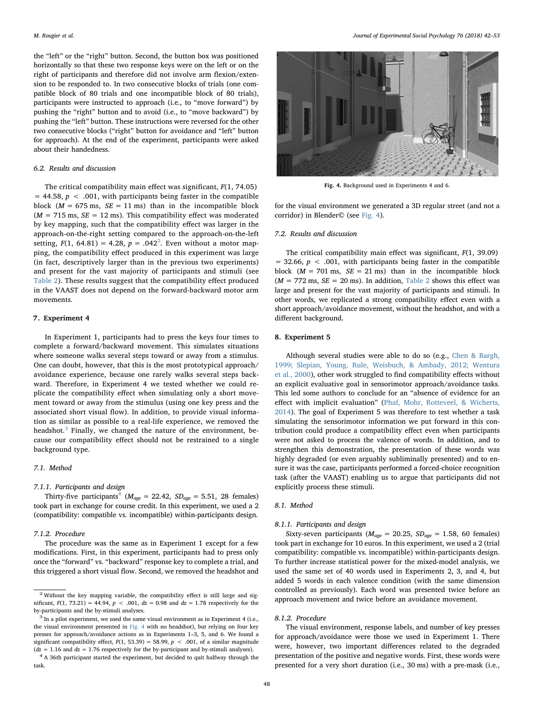the "left" or the "right" button. Second, the button box was positioned horizontally so that these two response keys were on the left or on the right of participants and therefore did not involve arm flexion/extension to be responded to. In two consecutive blocks of trials (one compatible block of 80 trials and one incompatible block of 80 trials), participants were instructed to approach (i.e., to "move forward") by pushing the "right" button and to avoid (i.e., to "move backward") by pushing the "left" button. These instructions were reversed for the other two consecutive blocks ("right" button for avoidance and "left" button for approach). At the end of the experiment, participants were asked about their handedness.

## 6.2. Results and discussion

The critical compatibility main effect was significant,  $F(1, 74.05)$  $= 44.58, p < .001$ , with participants being faster in the compatible block ( $M = 675$  ms,  $SE = 11$  ms) than in the incompatible block  $(M = 715 \text{ ms}, SE = 12 \text{ ms})$ . This compatibility effect was moderated by key mapping, such that the compatibility effect was larger in the approach-on-the-right setting compared to the approach-on-the-left setting,  $F(1, 64.81) = 4.28, p = .042^2$  $F(1, 64.81) = 4.28, p = .042^2$  $F(1, 64.81) = 4.28, p = .042^2$ . Even without a motor mapping, the compatibility effect produced in this experiment was large (in fact, descriptively larger than in the previous two experiments) and present for the vast majority of participants and stimuli (see [Table 2\)](#page-4-0). These results suggest that the compatibility effect produced in the VAAST does not depend on the forward-backward motor arm movements.

### 7. Experiment 4

In Experiment 1, participants had to press the keys four times to complete a forward/backward movement. This simulates situations where someone walks several steps toward or away from a stimulus. One can doubt, however, that this is the most prototypical approach/ avoidance experience, because one rarely walks several steps backward. Therefore, in Experiment 4 we tested whether we could replicate the compatibility effect when simulating only a short movement toward or away from the stimulus (using one key press and the associated short visual flow). In addition, to provide visual information as similar as possible to a real-life experience, we removed the headshot. $3$  Finally, we changed the nature of the environment, because our compatibility effect should not be restrained to a single background type.

## 7.1. Method

#### 7.1.1. Participants and design

Thirty-five participants<sup>4</sup> ( $M_{age} = 22.42$ ,  $SD_{age} = 5.51$ , 28 females) took part in exchange for course credit. In this experiment, we used a 2 (compatibility: compatible vs. incompatible) within-participants design.

#### 7.1.2. Procedure

The procedure was the same as in Experiment 1 except for a few modifications. First, in this experiment, participants had to press only once the "forward" vs. "backward" response key to complete a trial, and this triggered a short visual flow. Second, we removed the headshot and

<span id="page-6-3"></span>

Fig. 4. Background used in Experiments 4 and 6.

for the visual environment we generated a 3D regular street (and not a corridor) in Blender© (see [Fig. 4\)](#page-6-3).

#### 7.2. Results and discussion

The critical compatibility main effect was significant,  $F(1, 39.09)$  $= 32.66$ ,  $p < .001$ , with participants being faster in the compatible block ( $M = 701$  ms,  $SE = 21$  ms) than in the incompatible block  $(M = 772 \text{ ms}, SE = 20 \text{ ms})$ . In addition, [Table 2](#page-4-0) shows this effect was large and present for the vast majority of participants and stimuli. In other words, we replicated a strong compatibility effect even with a short approach/avoidance movement, without the headshot, and with a different background.

## 8. Experiment 5

Although several studies were able to do so (e.g., [Chen & Bargh,](#page-10-2) [1999; Slepian, Young, Rule, Weisbuch, & Ambady, 2012; Wentura](#page-10-2) [et al., 2000\)](#page-10-2), other work struggled to find compatibility effects without an explicit evaluative goal in sensorimotor approach/avoidance tasks. This led some authors to conclude for an "absence of evidence for an effect with implicit evaluation" [\(Phaf, Mohr, Rotteveel, & Wicherts,](#page-10-19) [2014\)](#page-10-19). The goal of Experiment 5 was therefore to test whether a task simulating the sensorimotor information we put forward in this contribution could produce a compatibility effect even when participants were not asked to process the valence of words. In addition, and to strengthen this demonstration, the presentation of these words was highly degraded (or even arguably subliminally presented) and to ensure it was the case, participants performed a forced-choice recognition task (after the VAAST) enabling us to argue that participants did not explicitly process these stimuli.

#### 8.1. Method

#### 8.1.1. Participants and design

Sixty-seven participants ( $M_{age} = 20.25$ ,  $SD_{age} = 1.58$ , 60 females) took part in exchange for 10 euros. In this experiment, we used a 2 (trial compatibility: compatible vs. incompatible) within-participants design. To further increase statistical power for the mixed-model analysis, we used the same set of 40 words used in Experiments 2, 3, and 4, but added 5 words in each valence condition (with the same dimension controlled as previously). Each word was presented twice before an approach movement and twice before an avoidance movement.

#### 8.1.2. Procedure

The visual environment, response labels, and number of key presses for approach/avoidance were those we used in Experiment 1. There were, however, two important differences related to the degraded presentation of the positive and negative words. First, these words were presented for a very short duration (i.e., 30 ms) with a pre-mask (i.e.,

<span id="page-6-0"></span><sup>2</sup> Without the key mapping variable, the compatibility effect is still large and significant,  $F(1, 73.21) = 44.94$ ,  $p < .001$ ,  $dz = 0.98$  and  $dz = 1.78$  respectively for the by-participants and the by-stimuli analyses.<br><sup>3</sup> In a pilot experiment, we used the same visual environment as in Experiment 4 (i.e.,

<span id="page-6-1"></span>the visual environment presented in [Fig. 4](#page-6-3) with no headshot), but relying on four key presses for approach/avoidance actions as in Experiments 1–3, 5, and 6. We found a significant compatibility effect,  $F(1, 53.39) = 58.99$ ,  $p < .001$ , of a similar magnitude

<span id="page-6-2"></span> $(dz=1.16$  and  $dz=1.76$  respectively for the by-participant and by-stimuli analyses).  $^4$  A 36th participant started the experiment, but decided to quit halfway through the task.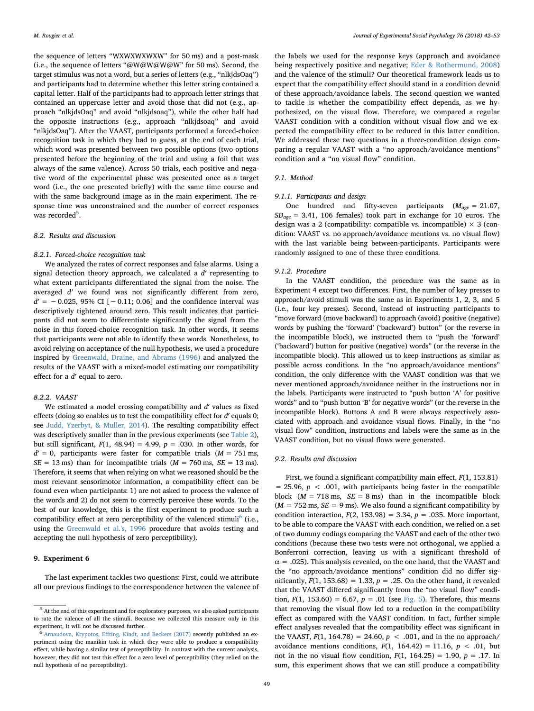the sequence of letters "WXWXWXWXW" for 50 ms) and a post-mask (i.e., the sequence of letters "@W@W@W@W" for 50 ms). Second, the target stimulus was not a word, but a series of letters (e.g., "nlkjdsOaq") and participants had to determine whether this letter string contained a capital letter. Half of the participants had to approach letter strings that contained an uppercase letter and avoid those that did not (e.g., approach "nlkjdsOaq" and avoid "nlkjdsoaq"), while the other half had the opposite instructions (e.g., approach "nlkjdsoaq" and avoid "nlkjdsOaq"). After the VAAST, participants performed a forced-choice recognition task in which they had to guess, at the end of each trial, which word was presented between two possible options (two options presented before the beginning of the trial and using a foil that was always of the same valence). Across 50 trials, each positive and negative word of the experimental phase was presented once as a target word (i.e., the one presented briefly) with the same time course and with the same background image as in the main experiment. The response time was unconstrained and the number of correct responses was recorded<sup>[5](#page-7-0)</sup>.

## 8.2. Results and discussion

#### 8.2.1. Forced-choice recognition task

We analyzed the rates of correct responses and false alarms. Using a signal detection theory approach, we calculated a d' representing to what extent participants differentiated the signal from the noise. The averaged d' we found was not significantly different from zero,  $d' = -0.025$ , 95% CI [ $-0.11$ ; 0.06] and the confidence interval was descriptively tightened around zero. This result indicates that participants did not seem to differentiate significantly the signal from the noise in this forced-choice recognition task. In other words, it seems that participants were not able to identify these words. Nonetheless, to avoid relying on acceptance of the null hypothesis, we used a procedure inspired by [Greenwald, Draine, and Abrams \(1996\)](#page-10-20) and analyzed the results of the VAAST with a mixed-model estimating our compatibility effect for a d′ equal to zero.

## 8.2.2. VAAST

We estimated a model crossing compatibility and  $d'$  values as fixed effects (doing so enables us to test the compatibility effect for d′ equals 0; see [Judd, Yzerbyt, & Muller, 2014\)](#page-10-21). The resulting compatibility effect was descriptively smaller than in the previous experiments (see [Table 2\)](#page-4-0), but still significant,  $F(1, 48.94) = 4.99$ ,  $p = .030$ . In other words, for  $d' = 0$ , participants were faster for compatible trials ( $M = 751$  ms,  $SE = 13$  ms) than for incompatible trials ( $M = 760$  ms,  $SE = 13$  ms). Therefore, it seems that when relying on what we reasoned should be the most relevant sensorimotor information, a compatibility effect can be found even when participants: 1) are not asked to process the valence of the words and 2) do not seem to correctly perceive these words. To the best of our knowledge, this is the first experiment to produce such a compatibility effect at zero perceptibility of the valenced stimuli<sup>[6](#page-7-1)</sup> (i.e., using the [Greenwald et al.'s, 1996](#page-10-20) procedure that avoids testing and accepting the null hypothesis of zero perceptibility).

## 9. Experiment 6

The last experiment tackles two questions: First, could we attribute all our previous findings to the correspondence between the valence of

the labels we used for the response keys (approach and avoidance being respectively positive and negative; [Eder & Rothermund, 2008\)](#page-10-22) and the valence of the stimuli? Our theoretical framework leads us to expect that the compatibility effect should stand in a condition devoid of these approach/avoidance labels. The second question we wanted to tackle is whether the compatibility effect depends, as we hypothesized, on the visual flow. Therefore, we compared a regular VAAST condition with a condition without visual flow and we expected the compatibility effect to be reduced in this latter condition. We addressed these two questions in a three-condition design comparing a regular VAAST with a "no approach/avoidance mentions" condition and a "no visual flow" condition.

## 9.1. Method

## 9.1.1. Participants and design

One hundred and fifty-seven participants  $(M_{\text{age}} = 21.07,$  $SD<sub>age</sub> = 3.41, 106 females)$  took part in exchange for 10 euros. The design was a 2 (compatibility: compatible vs. incompatible)  $\times$  3 (condition: VAAST vs. no approach/avoidance mentions vs. no visual flow) with the last variable being between-participants. Participants were randomly assigned to one of these three conditions.

#### 9.1.2. Procedure

In the VAAST condition, the procedure was the same as in Experiment 4 except two differences. First, the number of key presses to approach/avoid stimuli was the same as in Experiments 1, 2, 3, and 5 (i.e., four key presses). Second, instead of instructing participants to "move forward (move backward) to approach (avoid) positive (negative) words by pushing the 'forward' ('backward') button" (or the reverse in the incompatible block), we instructed them to "push the 'forward' ('backward') button for positive (negative) words" (or the reverse in the incompatible block). This allowed us to keep instructions as similar as possible across conditions. In the "no approach/avoidance mentions" condition, the only difference with the VAAST condition was that we never mentioned approach/avoidance neither in the instructions nor in the labels. Participants were instructed to "push button 'A' for positive words" and to "push button 'B' for negative words" (or the reverse in the incompatible block). Buttons A and B were always respectively associated with approach and avoidance visual flows. Finally, in the "no visual flow" condition, instructions and labels were the same as in the VAAST condition, but no visual flows were generated.

## 9.2. Results and discussion

First, we found a significant compatibility main effect,  $F(1, 153.81)$  $= 25.96, p < .001$ , with participants being faster in the compatible block  $(M = 718 \text{ ms}, \ \ SE = 8 \text{ ms})$  than in the incompatible block  $(M = 752 \text{ ms}, SE = 9 \text{ ms})$ . We also found a significant compatibility by condition interaction,  $F(2, 153.98) = 3.34$ ,  $p = .035$ . More important, to be able to compare the VAAST with each condition, we relied on a set of two dummy codings comparing the VAAST and each of the other two conditions (because these two tests were not orthogonal, we applied a Bonferroni correction, leaving us with a significant threshold of  $\alpha$  = .025). This analysis revealed, on the one hand, that the VAAST and the "no approach/avoidance mentions" condition did no differ significantly,  $F(1, 153.68) = 1.33$ ,  $p = .25$ . On the other hand, it revealed that the VAAST differed significantly from the "no visual flow" condition,  $F(1, 153.60) = 6.67$ ,  $p = .01$  (see [Fig. 5](#page-8-2)). Therefore, this means that removing the visual flow led to a reduction in the compatibility effect as compared with the VAAST condition. In fact, further simple effect analyses revealed that the compatibility effect was significant in the VAAST,  $F(1, 164.78) = 24.60$ ,  $p < .001$ , and in the no approach/ avoidance mentions conditions,  $F(1, 164.42) = 11.16$ ,  $p < .01$ , but not in the no visual flow condition,  $F(1, 164.25) = 1.90$ ,  $p = .17$ . In sum, this experiment shows that we can still produce a compatibility

<span id="page-7-0"></span> $^{\rm 5}$  At the end of this experiment and for exploratory purposes, we also asked participants to rate the valence of all the stimuli. Because we collected this measure only in this

<span id="page-7-1"></span>experiment, it will not be discussed further. 6 Arnaudova, Krypotos, Eff[ting, Kindt, and Beckers \(2017\)](#page-10-23) recently published an experiment using the manikin task in which they were able to produce a compatibility effect, while having a similar test of perceptibility. In contrast with the current analysis, however, they did not test this effect for a zero level of perceptibility (they relied on the null hypothesis of no perceptibility).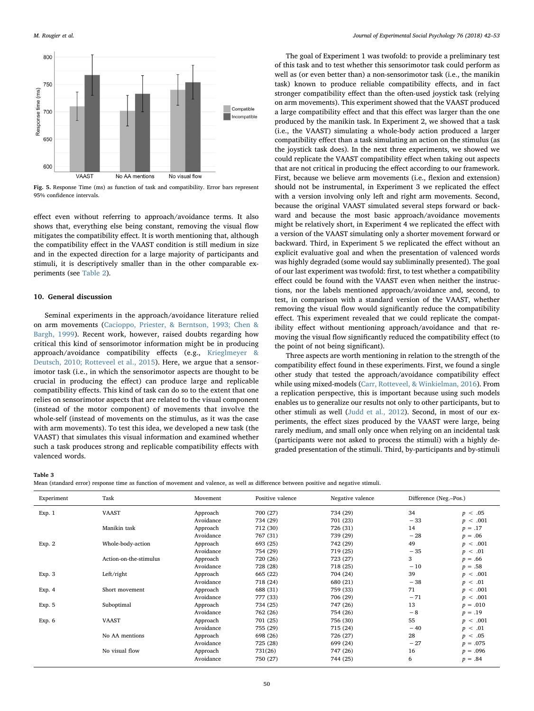<span id="page-8-2"></span>

Fig. 5. Response Time (ms) as function of task and compatibility. Error bars represent 95% confidence intervals.

effect even without referring to approach/avoidance terms. It also shows that, everything else being constant, removing the visual flow mitigates the compatibility effect. It is worth mentioning that, although the compatibility effect in the VAAST condition is still medium in size and in the expected direction for a large majority of participants and stimuli, it is descriptively smaller than in the other comparable experiments (see [Table 2\)](#page-4-0).

## <span id="page-8-0"></span>10. General discussion

Seminal experiments in the approach/avoidance literature relied on arm movements [\(Cacioppo, Priester, & Berntson, 1993; Chen &](#page-10-24) [Bargh, 1999](#page-10-24)). Recent work, however, raised doubts regarding how critical this kind of sensorimotor information might be in producing approach/avoidance compatibility effects (e.g., [Krieglmeyer &](#page-10-7) [Deutsch, 2010; Rotteveel et al., 2015](#page-10-7)). Here, we argue that a sensorimotor task (i.e., in which the sensorimotor aspects are thought to be crucial in producing the effect) can produce large and replicable compatibility effects. This kind of task can do so to the extent that one relies on sensorimotor aspects that are related to the visual component (instead of the motor component) of movements that involve the whole-self (instead of movements on the stimulus, as it was the case with arm movements). To test this idea, we developed a new task (the VAAST) that simulates this visual information and examined whether such a task produces strong and replicable compatibility effects with valenced words.

The goal of Experiment 1 was twofold: to provide a preliminary test of this task and to test whether this sensorimotor task could perform as well as (or even better than) a non-sensorimotor task (i.e., the manikin task) known to produce reliable compatibility effects, and in fact stronger compatibility effect than the often-used joystick task (relying on arm movements). This experiment showed that the VAAST produced a large compatibility effect and that this effect was larger than the one produced by the manikin task. In Experiment 2, we showed that a task (i.e., the VAAST) simulating a whole-body action produced a larger compatibility effect than a task simulating an action on the stimulus (as the joystick task does). In the next three experiments, we showed we could replicate the VAAST compatibility effect when taking out aspects that are not critical in producing the effect according to our framework. First, because we believe arm movements (i.e., flexion and extension) should not be instrumental, in Experiment 3 we replicated the effect with a version involving only left and right arm movements. Second, because the original VAAST simulated several steps forward or backward and because the most basic approach/avoidance movements might be relatively short, in Experiment 4 we replicated the effect with a version of the VAAST simulating only a shorter movement forward or backward. Third, in Experiment 5 we replicated the effect without an explicit evaluative goal and when the presentation of valenced words was highly degraded (some would say subliminally presented). The goal of our last experiment was twofold: first, to test whether a compatibility effect could be found with the VAAST even when neither the instructions, nor the labels mentioned approach/avoidance and, second, to test, in comparison with a standard version of the VAAST, whether removing the visual flow would significantly reduce the compatibility effect. This experiment revealed that we could replicate the compatibility effect without mentioning approach/avoidance and that removing the visual flow significantly reduced the compatibility effect (to the point of not being significant).

Three aspects are worth mentioning in relation to the strength of the compatibility effect found in these experiments. First, we found a single other study that tested the approach/avoidance compatibility effect while using mixed-models ([Carr, Rotteveel, & Winkielman, 2016\)](#page-10-25). From a replication perspective, this is important because using such models enables us to generalize our results not only to other participants, but to other stimuli as well [\(Judd et al., 2012](#page-10-15)). Second, in most of our experiments, the effect sizes produced by the VAAST were large, being rarely medium, and small only once when relying on an incidental task (participants were not asked to process the stimuli) with a highly degraded presentation of the stimuli. Third, by-participants and by-stimuli

<span id="page-8-1"></span>Table 3

Mean (standard error) response time as function of movement and valence, as well as difference between positive and negative stimuli.

| Experiment | Task                   | Movement  | Positive valence | Negative valence |       | Difference (Neg.-Pos.) |  |
|------------|------------------------|-----------|------------------|------------------|-------|------------------------|--|
| Exp. 1     | <b>VAAST</b>           | Approach  | 700 (27)         | 734 (29)         | 34    | p < .05                |  |
|            |                        | Avoidance | 734 (29)         | 701 (23)         | $-33$ | p < .001               |  |
|            | Manikin task           | Approach  | 712 (30)         | 726 (31)         | 14    | $p = .17$              |  |
|            |                        | Avoidance | 767 (31)         | 739 (29)         | $-28$ | $p = .06$              |  |
| Exp. 2     | Whole-body-action      | Approach  | 693 (25)         | 742 (29)         | 49    | p < .001               |  |
|            |                        | Avoidance | 754 (29)         | 719 (25)         | $-35$ | $p \lt .01$            |  |
|            | Action-on-the-stimulus | Approach  | 720 (26)         | 723 (27)         | 3     | $p = .66$              |  |
|            |                        | Avoidance | 728 (28)         | 718 (25)         | $-10$ | $p = .58$              |  |
| Exp. 3     | Left/right             | Approach  | 665 (22)         | 704 (24)         | 39    | p < .001               |  |
|            |                        | Avoidance | 718 (24)         | 680 (21)         | $-38$ | p < .01                |  |
| Exp. 4     | Short movement         | Approach  | 688 (31)         | 759 (33)         | 71    | p < .001               |  |
|            |                        | Avoidance | 777 (33)         | 706 (29)         | $-71$ | p < .001               |  |
| Exp. 5     | Suboptimal             | Approach  | 734 (25)         | 747 (26)         | 13    | $p = .010$             |  |
|            |                        | Avoidance | 762 (26)         | 754 (26)         | $-8$  | $p = .19$              |  |
| Exp. 6     | <b>VAAST</b>           | Approach  | 701 (25)         | 756 (30)         | 55    | p < .001               |  |
|            |                        | Avoidance | 755 (29)         | 715 (24)         | $-40$ | p < .01                |  |
|            | No AA mentions         | Approach  | 698 (26)         | 726 (27)         | 28    | p < .05                |  |
|            |                        | Avoidance | 725 (28)         | 699 (24)         | $-27$ | $p = .075$             |  |
|            | No visual flow         | Approach  | 731(26)          | 747 (26)         | 16    | $p = .096$             |  |
|            |                        | Avoidance | 750 (27)         | 744 (25)         | 6     | $p = .84$              |  |
|            |                        |           |                  |                  |       |                        |  |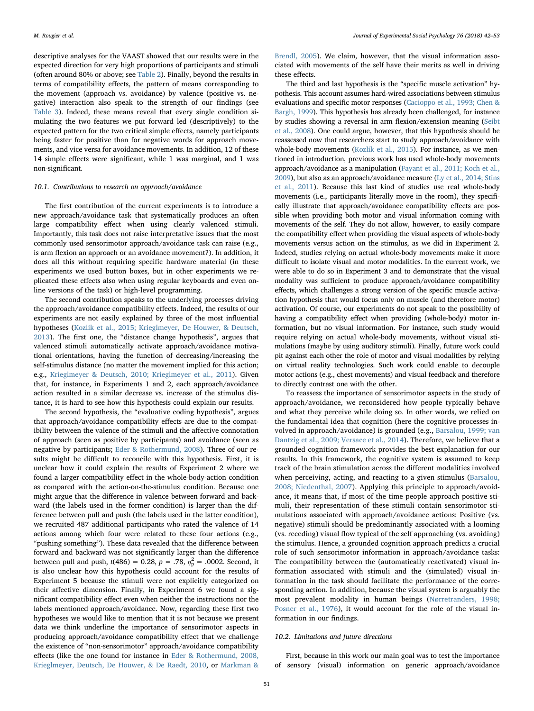descriptive analyses for the VAAST showed that our results were in the expected direction for very high proportions of participants and stimuli (often around 80% or above; see [Table 2\)](#page-4-0). Finally, beyond the results in terms of compatibility effects, the pattern of means corresponding to the movement (approach vs. avoidance) by valence (positive vs. negative) interaction also speak to the strength of our findings (see [Table 3](#page-8-1)). Indeed, these means reveal that every single condition simulating the two features we put forward led (descriptively) to the expected pattern for the two critical simple effects, namely participants being faster for positive than for negative words for approach movements, and vice versa for avoidance movements. In addition, 12 of these 14 simple effects were significant, while 1 was marginal, and 1 was non-significant.

### 10.1. Contributions to research on approach/avoidance

The first contribution of the current experiments is to introduce a new approach/avoidance task that systematically produces an often large compatibility effect when using clearly valenced stimuli. Importantly, this task does not raise interpretative issues that the most commonly used sensorimotor approach/avoidance task can raise (e.g., is arm flexion an approach or an avoidance movement?). In addition, it does all this without requiring specific hardware material (in these experiments we used button boxes, but in other experiments we replicated these effects also when using regular keyboards and even online versions of the task) or high-level programming.

The second contribution speaks to the underlying processes driving the approach/avoidance compatibility effects. Indeed, the results of our experiments are not easily explained by three of the most influential hypotheses ([Kozlik et al., 2015; Krieglmeyer, De Houwer, & Deutsch,](#page-10-8) [2013\)](#page-10-8). The first one, the "distance change hypothesis", argues that valenced stimuli automatically activate approach/avoidance motivational orientations, having the function of decreasing/increasing the self-stimulus distance (no matter the movement implied for this action; e.g., [Krieglmeyer & Deutsch, 2010; Krieglmeyer et al., 2011](#page-10-7)). Given that, for instance, in Experiments 1 and 2, each approach/avoidance action resulted in a similar decrease vs. increase of the stimulus distance, it is hard to see how this hypothesis could explain our results.

The second hypothesis, the "evaluative coding hypothesis", argues that approach/avoidance compatibility effects are due to the compatibility between the valence of the stimuli and the affective connotation of approach (seen as positive by participants) and avoidance (seen as negative by participants; [Eder & Rothermund, 2008](#page-10-22)). Three of our results might be difficult to reconcile with this hypothesis. First, it is unclear how it could explain the results of Experiment 2 where we found a larger compatibility effect in the whole-body-action condition as compared with the action-on-the-stimulus condition. Because one might argue that the difference in valence between forward and backward (the labels used in the former condition) is larger than the difference between pull and push (the labels used in the latter condition), we recruited 487 additional participants who rated the valence of 14 actions among which four were related to these four actions (e.g., "pushing something"). These data revealed that the difference between forward and backward was not significantly larger than the difference between pull and push,  $t(486) = 0.28$ ,  $p = .78$ ,  $\eta_{p}^{2} = .0002$ . Second, it is also unclear how this hypothesis could account for the results of Experiment 5 because the stimuli were not explicitly categorized on their affective dimension. Finally, in Experiment 6 we found a significant compatibility effect even when neither the instructions nor the labels mentioned approach/avoidance. Now, regarding these first two hypotheses we would like to mention that it is not because we present data we think underline the importance of sensorimotor aspects in producing approach/avoidance compatibility effect that we challenge the existence of "non-sensorimotor" approach/avoidance compatibility effects (like the one found for instance in [Eder & Rothermund, 2008,](#page-10-22) [Krieglmeyer, Deutsch, De Houwer, & De Raedt, 2010](#page-10-22), or [Markman &](#page-10-26)

[Brendl, 2005\)](#page-10-26). We claim, however, that the visual information associated with movements of the self have their merits as well in driving these effects.

The third and last hypothesis is the "specific muscle activation" hypothesis. This account assumes hard-wired associations between stimulus evaluations and specific motor responses [\(Cacioppo et al., 1993; Chen &](#page-10-24) [Bargh, 1999](#page-10-24)). This hypothesis has already been challenged, for instance by studies showing a reversal in arm flexion/extension meaning [\(Seibt](#page-11-3) [et al., 2008\)](#page-11-3). One could argue, however, that this hypothesis should be reassessed now that researchers start to study approach/avoidance with whole-body movements ([Kozlik et al., 2015](#page-10-8)). For instance, as we mentioned in introduction, previous work has used whole-body movements approach/avoidance as a manipulation ([Fayant et al., 2011; Koch et al.,](#page-10-12) [2009](#page-10-12)), but also as an approach/avoidance measure [\(Ly et al., 2014; Stins](#page-10-13) [et al., 2011\)](#page-10-13). Because this last kind of studies use real whole-body movements (i.e., participants literally move in the room), they specifically illustrate that approach/avoidance compatibility effects are possible when providing both motor and visual information coming with movements of the self. They do not allow, however, to easily compare the compatibility effect when providing the visual aspects of whole-body movements versus action on the stimulus, as we did in Experiment 2. Indeed, studies relying on actual whole-body movements make it more difficult to isolate visual and motor modalities. In the current work, we were able to do so in Experiment 3 and to demonstrate that the visual modality was sufficient to produce approach/avoidance compatibility effects, which challenges a strong version of the specific muscle activation hypothesis that would focus only on muscle (and therefore motor) activation. Of course, our experiments do not speak to the possibility of having a compatibility effect when providing (whole-body) motor information, but no visual information. For instance, such study would require relying on actual whole-body movements, without visual stimulations (maybe by using auditory stimuli). Finally, future work could pit against each other the role of motor and visual modalities by relying on virtual reality technologies. Such work could enable to decouple motor actions (e.g., chest movements) and visual feedback and therefore to directly contrast one with the other.

To reassess the importance of sensorimotor aspects in the study of approach/avoidance, we reconsidered how people typically behave and what they perceive while doing so. In other words, we relied on the fundamental idea that cognition (here the cognitive processes involved in approach/avoidance) is grounded (e.g., [Barsalou, 1999; van](#page-10-27) [Dantzig et al., 2009; Versace et al., 2014\)](#page-10-27). Therefore, we believe that a grounded cognition framework provides the best explanation for our results. In this framework, the cognitive system is assumed to keep track of the brain stimulation across the different modalities involved when perceiving, acting, and reacting to a given stimulus [\(Barsalou,](#page-10-28) [2008; Niedenthal, 2007\)](#page-10-28). Applying this principle to approach/avoidance, it means that, if most of the time people approach positive stimuli, their representation of these stimuli contain sensorimotor stimulations associated with approach/avoidance actions: Positive (vs. negative) stimuli should be predominantly associated with a looming (vs. receding) visual flow typical of the self approaching (vs. avoiding) the stimulus. Hence, a grounded cognition approach predicts a crucial role of such sensorimotor information in approach/avoidance tasks: The compatibility between the (automatically reactivated) visual information associated with stimuli and the (simulated) visual information in the task should facilitate the performance of the corresponding action. In addition, because the visual system is arguably the most prevalent modality in human beings [\(Nørretranders, 1998;](#page-10-10) [Posner et al., 1976](#page-10-10)), it would account for the role of the visual information in our findings.

#### 10.2. Limitations and future directions

First, because in this work our main goal was to test the importance of sensory (visual) information on generic approach/avoidance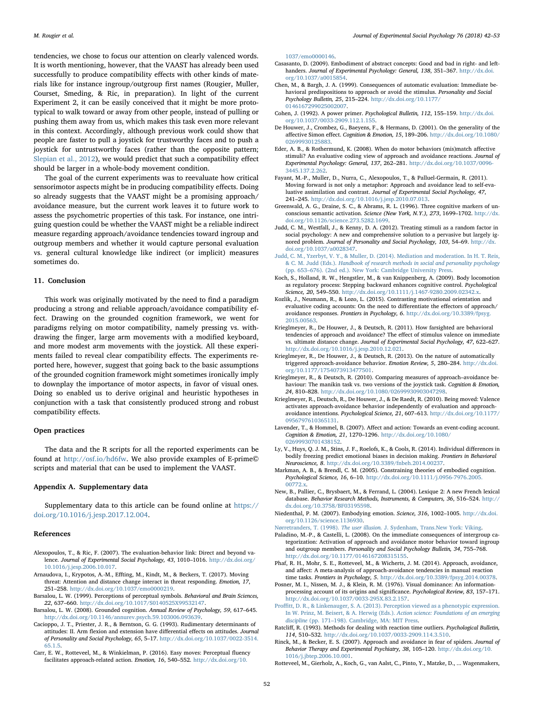tendencies, we chose to focus our attention on clearly valenced words. It is worth mentioning, however, that the VAAST has already been used successfully to produce compatibility effects with other kinds of materials like for instance ingroup/outgroup first names (Rougier, Muller, Courset, Smeding, & Ric, in preparation). In light of the current Experiment 2, it can be easily conceived that it might be more prototypical to walk toward or away from other people, instead of pulling or pushing them away from us, which makes this task even more relevant in this context. Accordingly, although previous work could show that people are faster to pull a joystick for trustworthy faces and to push a joystick for untrustworthy faces (rather than the opposite pattern; [Slepian et al., 2012](#page-11-5)), we would predict that such a compatibility effect should be larger in a whole-body movement condition.

The goal of the current experiments was to reevaluate how critical sensorimotor aspects might be in producing compatibility effects. Doing so already suggests that the VAAST might be a promising approach/ avoidance measure, but the current work leaves it to future work to assess the psychometric properties of this task. For instance, one intriguing question could be whether the VAAST might be a reliable indirect measure regarding approach/avoidance tendencies toward ingroup and outgroup members and whether it would capture personal evaluation vs. general cultural knowledge like indirect (or implicit) measures sometimes do.

## 11. Conclusion

This work was originally motivated by the need to find a paradigm producing a strong and reliable approach/avoidance compatibility effect. Drawing on the grounded cognition framework, we went for paradigms relying on motor compatibility, namely pressing vs. withdrawing the finger, large arm movements with a modified keyboard, and more modest arm movements with the joystick. All these experiments failed to reveal clear compatibility effects. The experiments reported here, however, suggest that going back to the basic assumptions of the grounded cognition framework might sometimes ironically imply to downplay the importance of motor aspects, in favor of visual ones. Doing so enabled us to derive original and heuristic hypotheses in conjunction with a task that consistently produced strong and robust compatibility effects.

#### Open practices

The data and the R scripts for all the reported experiments can be found at <http://osf.io/hd6fw>. We also provide examples of E-prime© scripts and material that can be used to implement the VAAST.

#### Appendix A. Supplementary data

Supplementary data to this article can be found online at [https://](https://doi.org/10.1016/j.jesp.2017.12.004) [doi.org/10.1016/j.jesp.2017.12.004](https://doi.org/10.1016/j.jesp.2017.12.004).

#### References

- <span id="page-10-3"></span>Alexopoulos, T., & Ric, F. (2007). The evaluation-behavior link: Direct and beyond valence. Journal of Experimental Social Psychology, 43, 1010–1016. [http://dx.doi.org/](http://dx.doi.org/10.1016/j.jesp.2006.10.017) [10.1016/j.jesp.2006.10.017](http://dx.doi.org/10.1016/j.jesp.2006.10.017).
- <span id="page-10-23"></span>Arnaudova, I., Krypotos, A.-M., Effting, M., Kindt, M., & Beckers, T. (2017). Moving threat: Attention and distance change interact in threat responding. Emotion, 17, 251–258. <http://dx.doi.org/10.1037/emo0000219>.
- <span id="page-10-27"></span>Barsalou, L. W. (1999). Perceptions of perceptual symbols. Behavioral and Brain Sciences, 22, 637–660. <http://dx.doi.org/10.1017/S0140525X99532147>.
- <span id="page-10-28"></span>Barsalou, L. W. (2008). Grounded cognition. Annual Review of Psychology, 59, 617–645. <http://dx.doi.org/10.1146/annurev.psych.59.103006.093639>.
- <span id="page-10-24"></span>Cacioppo, J. T., Priester, J. R., & Berntson, G. G. (1993). Rudimentary determinants of attitudes: II. Arm flexion and extension have differential effects on attitudes. Journal of Personality and Social Psychology, 65, 5–17. [http://dx.doi.org/10.1037/0022-3514.](http://dx.doi.org/10.1037/0022-3514.65.1.5) [65.1.5](http://dx.doi.org/10.1037/0022-3514.65.1.5).
- <span id="page-10-25"></span>Carr, E. W., Rotteveel, M., & Winkielman, P. (2016). Easy moves: Perceptual fluency facilitates approach-related action. Emotion, 16, 540–552. [http://dx.doi.org/10.](http://dx.doi.org/10.1037/emo0000146)

[1037/emo0000146](http://dx.doi.org/10.1037/emo0000146).

- <span id="page-10-18"></span>Casasanto, D. (2009). Embodiment of abstract concepts: Good and bad in right- and lefthanders. Journal of Experimental Psychology: General, 138, 351–367. [http://dx.doi.](http://dx.doi.org/10.1037/a0015854) [org/10.1037/a0015854.](http://dx.doi.org/10.1037/a0015854)
- <span id="page-10-2"></span>Chen, M., & Bargh, J. A. (1999). Consequences of automatic evaluation: Immediate behavioral predispositions to approach or avoid the stimulus. Personality and Social Psychology Bulletin, 25, 215–224. [http://dx.doi.org/10.1177/](http://dx.doi.org/10.1177/0146167299025002007) [0146167299025002007.](http://dx.doi.org/10.1177/0146167299025002007)
- <span id="page-10-17"></span>Cohen, J. (1992). A power primer. Psychological Bulletin, 112, 155–159. [http://dx.doi.](http://dx.doi.org/10.1037/0033-2909.112.1.155) [org/10.1037/0033-2909.112.1.155.](http://dx.doi.org/10.1037/0033-2909.112.1.155)
- <span id="page-10-1"></span>De Houwer, J., Crombez, G., Baeyens, F., & Hermans, D. (2001). On the generality of the affective Simon effect. Cognition & Emotion, 15, 189–206. [http://dx.doi.org/10.1080/](http://dx.doi.org/10.1080/02699930125883) [02699930125883.](http://dx.doi.org/10.1080/02699930125883)
- <span id="page-10-22"></span>Eder, A. B., & Rothermund, K. (2008). When do motor behaviors (mis)match affective stimuli? An evaluative coding view of approach and avoidance reactions. Journal of Experimental Psychology: General, 137, 262–281. [http://dx.doi.org/10.1037/0096-](http://dx.doi.org/10.1037/0096-3445.137.2.262) [3445.137.2.262](http://dx.doi.org/10.1037/0096-3445.137.2.262).
- <span id="page-10-12"></span>Fayant, M.-P., Muller, D., Nurra, C., Alexopoulos, T., & Palluel-Germain, R. (2011). Moving forward is not only a metaphor: Approach and avoidance lead to self-evaluative assimilation and contrast. Journal of Experimental Social Psychology, 47, 241–245. <http://dx.doi.org/10.1016/j.jesp.2010.07.013>.
- <span id="page-10-20"></span>Greenwald, A. G., Draine, S. C., & Abrams, R. L. (1996). Three cognitive markers of unconscious semantic activation. Science (New York, N.Y.), 273, 1699–1702. [http://dx.](http://dx.doi.org/10.1126/science.273.5282.1699) [doi.org/10.1126/science.273.5282.1699](http://dx.doi.org/10.1126/science.273.5282.1699).
- <span id="page-10-15"></span>Judd, C. M., Westfall, J., & Kenny, D. A. (2012). Treating stimuli as a random factor in social psychology: A new and comprehensive solution to a pervasive but largely ignored problem. Journal of Personality and Social Psychology, 103, 54–69. [http://dx.](http://dx.doi.org/10.1037/a0028347) [doi.org/10.1037/a0028347.](http://dx.doi.org/10.1037/a0028347)
- <span id="page-10-21"></span>[Judd, C. M., Yzerbyt, V. Y., & Muller, D. \(2014\). Mediation and moderation. In H. T. Reis,](http://refhub.elsevier.com/S0022-1031(17)30530-9/rf0075) & C. M. Judd (Eds.). [Handbook of research methods in social and personality psychology](http://refhub.elsevier.com/S0022-1031(17)30530-9/rf0075) (pp. 653–[676\). \(2nd ed.\). New York: Cambridge University Press.](http://refhub.elsevier.com/S0022-1031(17)30530-9/rf0075)
- Koch, S., Holland, R. W., Hengstler, M., & van Knippenberg, A. (2009). Body locomotion as regulatory process: Stepping backward enhances cognitive control. Psychological Science, 20, 549-550. [http://dx.doi.org/10.1111/j.1467-9280.2009.02342.x.](http://dx.doi.org/10.1111/j.1467-9280.2009.02342.x)
- <span id="page-10-8"></span>Kozlik, J., Neumann, R., & Lozo, L. (2015). Contrasting motivational orientation and evaluative coding accounts: On the need to differentiate the effectors of approach/ avoidance responses. Frontiers in Psychology, 6. [http://dx.doi.org/10.3389/fpsyg.](http://dx.doi.org/10.3389/fpsyg.2015.00563) [2015.00563.](http://dx.doi.org/10.3389/fpsyg.2015.00563)
- <span id="page-10-9"></span>Krieglmeyer, R., De Houwer, J., & Deutsch, R. (2011). How farsighted are behavioral tendencies of approach and avoidance? The effect of stimulus valence on immediate vs. ultimate distance change. Journal of Experimental Social Psychology, 47, 622–627. [http://dx.doi.org/10.1016/j.jesp.2010.12.021.](http://dx.doi.org/10.1016/j.jesp.2010.12.021)
- Krieglmeyer, R., De Houwer, J., & Deutsch, R. (2013). On the nature of automatically triggered approach-avoidance behavior. Emotion Review, 5, 280–284. [http://dx.doi.](http://dx.doi.org/10.1177/1754073913477501) [org/10.1177/1754073913477501.](http://dx.doi.org/10.1177/1754073913477501)
- <span id="page-10-7"></span>Krieglmeyer, R., & Deutsch, R. (2010). Comparing measures of approach–avoidance behaviour: The manikin task vs. two versions of the joystick task. Cognition & Emotion, 24, 810–828. <http://dx.doi.org/10.1080/02699930903047298>.
- Krieglmeyer, R., Deutsch, R., De Houwer, J., & De Raedt, R. (2010). Being moved: Valence activates approach-avoidance behavior independently of evaluation and approachavoidance intentions. Psychological Science, 21, 607–613. [http://dx.doi.org/10.1177/](http://dx.doi.org/10.1177/0956797610365131) [0956797610365131.](http://dx.doi.org/10.1177/0956797610365131)
- <span id="page-10-4"></span>Lavender, T., & Hommel, B. (2007). Affect and action: Towards an event-coding account. Cognition & Emotion, 21, 1270–1296. [http://dx.doi.org/10.1080/](http://dx.doi.org/10.1080/02699930701438152) [02699930701438152.](http://dx.doi.org/10.1080/02699930701438152)
- <span id="page-10-13"></span>Ly, V., Huys, Q. J. M., Stins, J. F., Roelofs, K., & Cools, R. (2014). Individual differences in bodily freezing predict emotional biases in decision making. Frontiers in Behavioral Neuroscience, 8. <http://dx.doi.org/10.3389/fnbeh.2014.00237>.
- <span id="page-10-26"></span>Markman, A. B., & Brendl, C. M. (2005). Constraining theories of embodied cognition. Psychological Science, 16, 6–10. [http://dx.doi.org/10.1111/j.0956-7976.2005.](http://dx.doi.org/10.1111/j.0956-7976.2005.00772.x) [00772.x.](http://dx.doi.org/10.1111/j.0956-7976.2005.00772.x)
- <span id="page-10-16"></span>New, B., Pallier, C., Brysbaert, M., & Ferrand, L. (2004). Lexique 2: A new French lexical database. Behavior Research Methods, Instruments, & Computers, 36, 516–524. [http://](http://dx.doi.org/10.3758/BF03195598) [dx.doi.org/10.3758/BF03195598.](http://dx.doi.org/10.3758/BF03195598)
- Niedenthal, P. M. (2007). Embodying emotion. Science, 316, 1002–1005. [http://dx.doi.](http://dx.doi.org/10.1126/science.1136930) [org/10.1126/science.1136930.](http://dx.doi.org/10.1126/science.1136930)

- <span id="page-10-5"></span>Paladino, M.-P., & Castelli, L. (2008). On the immediate consequences of intergroup categorization: Activation of approach and avoidance motor behavior toward ingroup and outgroup members. Personality and Social Psychology Bulletin, 34, 755–768. [http://dx.doi.org/10.1177/0146167208315155.](http://dx.doi.org/10.1177/0146167208315155)
- <span id="page-10-19"></span>Phaf, R. H., Mohr, S. E., Rotteveel, M., & Wicherts, J. M. (2014). Approach, avoidance, and affect: A meta-analysis of approach-avoidance tendencies in manual reaction time tasks. Frontiers in Psychology, 5. <http://dx.doi.org/10.3389/fpsyg.2014.00378>.
- Posner, M. I., Nissen, M. J., & Klein, R. M. (1976). Visual dominance: An informationprocessing account of its origins and significance. Psychological Review, 83, 157–171. [http://dx.doi.org/10.1037/0033-295X.83.2.157.](http://dx.doi.org/10.1037/0033-295X.83.2.157)
- <span id="page-10-11"></span>Proffi[tt, D. R., & Linkenauger, S. A. \(2013\). Perception viewed as a phenotypic expression.](http://refhub.elsevier.com/S0022-1031(17)30530-9/rf0155) [In W. Prinz, M. Beisert, & A. Herwig \(Eds.\).](http://refhub.elsevier.com/S0022-1031(17)30530-9/rf0155) Action science: Foundations of an emerging discipline (pp. 171–[198\). Cambridge, MA: MIT Press](http://refhub.elsevier.com/S0022-1031(17)30530-9/rf0155).
- <span id="page-10-14"></span>Ratcliff, R. (1993). Methods for dealing with reaction time outliers. Psychological Bulletin, 114, 510–532. [http://dx.doi.org/10.1037/0033-2909.114.3.510.](http://dx.doi.org/10.1037/0033-2909.114.3.510)
- <span id="page-10-0"></span>Rinck, M., & Becker, E. S. (2007). Approach and avoidance in fear of spiders. Journal of Behavior Therapy and Experimental Psychiatry, 38, 105–120. [http://dx.doi.org/10.](http://dx.doi.org/10.1016/j.jbtep.2006.10.001) [1016/j.jbtep.2006.10.001.](http://dx.doi.org/10.1016/j.jbtep.2006.10.001)
- <span id="page-10-6"></span>Rotteveel, M., Gierholz, A., Koch, G., van Aalst, C., Pinto, Y., Matzke, D., ... Wagenmakers,

<span id="page-10-10"></span>Nørretranders, T. (1998). The user illusion. [J. Sydenham, Trans.New York: Viking](http://refhub.elsevier.com/S0022-1031(17)30530-9/rf0135).